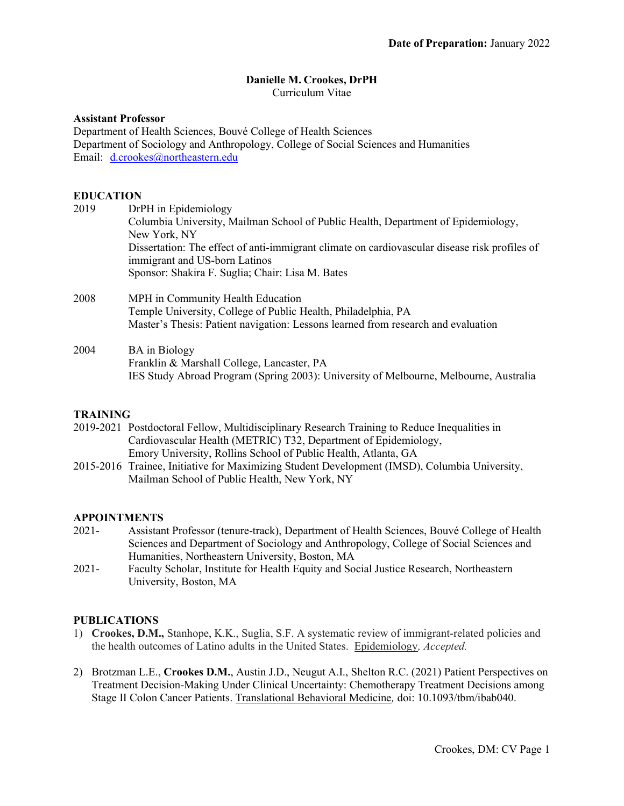## Danielle M. Crookes, DrPH

Curriculum Vitae

### Assistant Professor

Department of Health Sciences, Bouvé College of Health Sciences Department of Sociology and Anthropology, College of Social Sciences and Humanities Email: d.crookes@northeastern.edu

## EDUCATION

| 2019 | DrPH in Epidemiology                                                                                                           |  |  |
|------|--------------------------------------------------------------------------------------------------------------------------------|--|--|
|      | Columbia University, Mailman School of Public Health, Department of Epidemiology,                                              |  |  |
|      | New York, NY                                                                                                                   |  |  |
|      | Dissertation: The effect of anti-immigrant climate on cardiovascular disease risk profiles of<br>immigrant and US-born Latinos |  |  |
|      | Sponsor: Shakira F. Suglia; Chair: Lisa M. Bates                                                                               |  |  |
| 2008 | MPH in Community Health Education                                                                                              |  |  |
|      | Temple University, College of Public Health, Philadelphia, PA                                                                  |  |  |
|      | Master's Thesis: Patient navigation: Lessons learned from research and evaluation                                              |  |  |
| 2004 | <b>BA</b> in Biology                                                                                                           |  |  |
|      | Franklin & Marshall College, Lancaster, PA                                                                                     |  |  |
|      | IES Study Abroad Program (Spring 2003): University of Melbourne, Melbourne, Australia                                          |  |  |
|      |                                                                                                                                |  |  |

## TRAINING

2019-2021 Postdoctoral Fellow, Multidisciplinary Research Training to Reduce Inequalities in Cardiovascular Health (METRIC) T32, Department of Epidemiology, Emory University, Rollins School of Public Health, Atlanta, GA

2015-2016 Trainee, Initiative for Maximizing Student Development (IMSD), Columbia University, Mailman School of Public Health, New York, NY

#### APPOINTMENTS

- 2021- Assistant Professor (tenure-track), Department of Health Sciences, Bouvé College of Health Sciences and Department of Sociology and Anthropology, College of Social Sciences and Humanities, Northeastern University, Boston, MA
- 2021- Faculty Scholar, Institute for Health Equity and Social Justice Research, Northeastern University, Boston, MA

#### PUBLICATIONS

- 1) Crookes, D.M., Stanhope, K.K., Suglia, S.F. A systematic review of immigrant-related policies and the health outcomes of Latino adults in the United States. Epidemiology, Accepted.
- 2) Brotzman L.E., Crookes D.M., Austin J.D., Neugut A.I., Shelton R.C. (2021) Patient Perspectives on Treatment Decision-Making Under Clinical Uncertainty: Chemotherapy Treatment Decisions among Stage II Colon Cancer Patients. Translational Behavioral Medicine, doi: 10.1093/tbm/ibab040.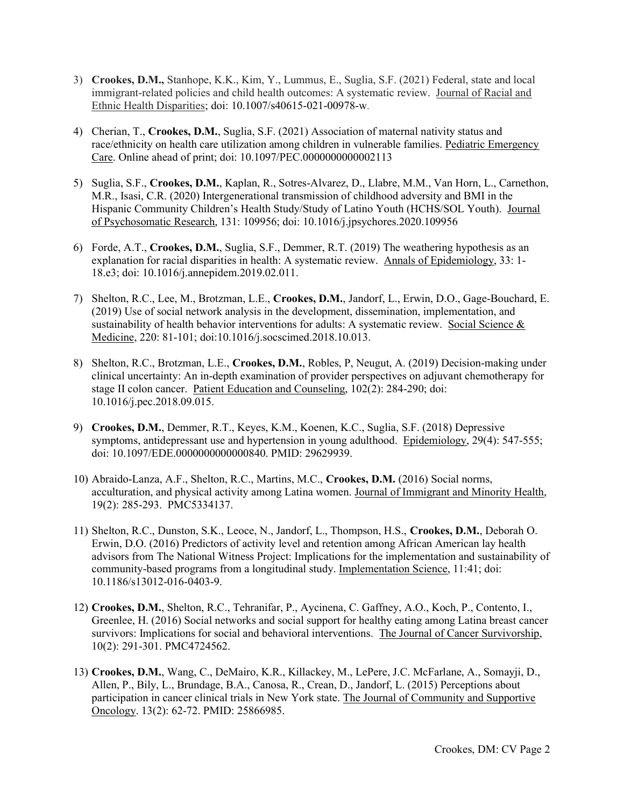- 3) Crookes, D.M., Stanhope, K.K., Kim, Y., Lummus, E., Suglia, S.F. (2021) Federal, state and local immigrant-related policies and child health outcomes: A systematic review. Journal of Racial and Ethnic Health Disparities; doi: 10.1007/s40615-021-00978-w.
- 4) Cherian, T., Crookes, D.M., Suglia, S.F. (2021) Association of maternal nativity status and race/ethnicity on health care utilization among children in vulnerable families. Pediatric Emergency Care. Online ahead of print; doi: 10.1097/PEC.0000000000002113
- 5) Suglia, S.F., Crookes, D.M., Kaplan, R., Sotres-Alvarez, D., Llabre, M.M., Van Horn, L., Carnethon, M.R., Isasi, C.R. (2020) Intergenerational transmission of childhood adversity and BMI in the Hispanic Community Children's Health Study/Study of Latino Youth (HCHS/SOL Youth). Journal of Psychosomatic Research, 131: 109956; doi: 10.1016/j.jpsychores.2020.109956
- 6) Forde, A.T., Crookes, D.M., Suglia, S.F., Demmer, R.T. (2019) The weathering hypothesis as an explanation for racial disparities in health: A systematic review. Annals of Epidemiology, 33: 1- 18.e3; doi: 10.1016/j.annepidem.2019.02.011.
- 7) Shelton, R.C., Lee, M., Brotzman, L.E., Crookes, D.M., Jandorf, L., Erwin, D.O., Gage-Bouchard, E. (2019) Use of social network analysis in the development, dissemination, implementation, and sustainability of health behavior interventions for adults: A systematic review. Social Science  $\&$ Medicine, 220: 81-101; doi:10.1016/j.socscimed.2018.10.013.
- 8) Shelton, R.C., Brotzman, L.E., Crookes, D.M., Robles, P, Neugut, A. (2019) Decision-making under clinical uncertainty: An in-depth examination of provider perspectives on adjuvant chemotherapy for stage II colon cancer. Patient Education and Counseling, 102(2): 284-290; doi: 10.1016/j.pec.2018.09.015.
- 9) Crookes, D.M., Demmer, R.T., Keyes, K.M., Koenen, K.C., Suglia, S.F. (2018) Depressive symptoms, antidepressant use and hypertension in young adulthood. Epidemiology, 29(4): 547-555; doi: 10.1097/EDE.0000000000000840. PMID: 29629939.
- 10) Abraido-Lanza, A.F., Shelton, R.C., Martins, M.C., Crookes, D.M. (2016) Social norms, acculturation, and physical activity among Latina women. Journal of Immigrant and Minority Health, 19(2): 285-293. PMC5334137.
- 11) Shelton, R.C., Dunston, S.K., Leoce, N., Jandorf, L., Thompson, H.S., Crookes, D.M., Deborah O. Erwin, D.O. (2016) Predictors of activity level and retention among African American lay health advisors from The National Witness Project: Implications for the implementation and sustainability of community-based programs from a longitudinal study. Implementation Science, 11:41; doi: 10.1186/s13012-016-0403-9.
- 12) Crookes, D.M., Shelton, R.C., Tehranifar, P., Aycinena, C. Gaffney, A.O., Koch, P., Contento, I., Greenlee, H. (2016) Social networks and social support for healthy eating among Latina breast cancer survivors: Implications for social and behavioral interventions. The Journal of Cancer Survivorship, 10(2): 291-301. PMC4724562.
- 13) Crookes, D.M., Wang, C., DeMairo, K.R., Killackey, M., LePere, J.C. McFarlane, A., Somayji, D., Allen, P., Bily, L., Brundage, B.A., Canosa, R., Crean, D., Jandorf, L. (2015) Perceptions about participation in cancer clinical trials in New York state. The Journal of Community and Supportive Oncology. 13(2): 62-72. PMID: 25866985.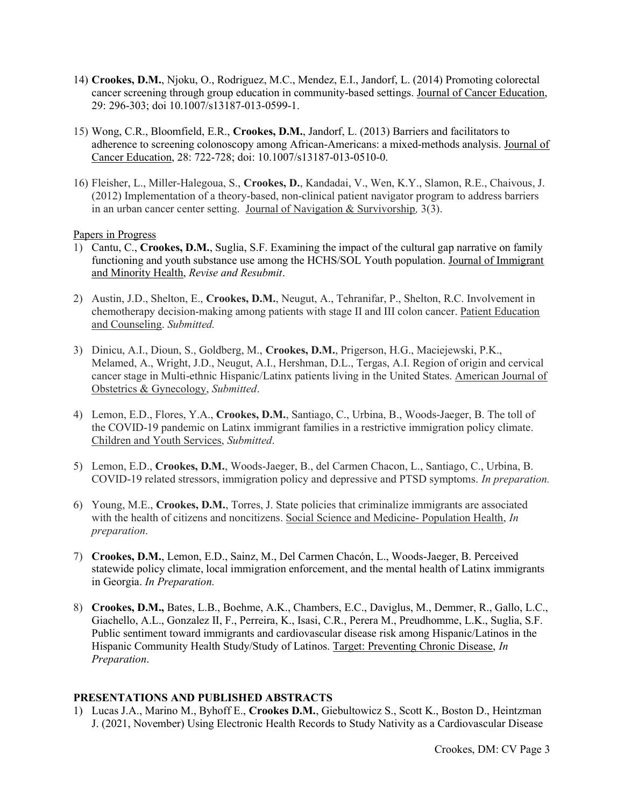- 14) Crookes, D.M., Njoku, O., Rodriguez, M.C., Mendez, E.I., Jandorf, L. (2014) Promoting colorectal cancer screening through group education in community-based settings. Journal of Cancer Education, 29: 296-303; doi 10.1007/s13187-013-0599-1.
- 15) Wong, C.R., Bloomfield, E.R., Crookes, D.M., Jandorf, L. (2013) Barriers and facilitators to adherence to screening colonoscopy among African-Americans: a mixed-methods analysis. Journal of Cancer Education, 28: 722-728; doi: 10.1007/s13187-013-0510-0.
- 16) Fleisher, L., Miller-Halegoua, S., Crookes, D., Kandadai, V., Wen, K.Y., Slamon, R.E., Chaivous, J. (2012) Implementation of a theory-based, non-clinical patient navigator program to address barriers in an urban cancer center setting. Journal of Navigation & Survivorship,  $3(\overline{3})$ .

## Papers in Progress

- 1) Cantu, C., Crookes, D.M., Suglia, S.F. Examining the impact of the cultural gap narrative on family functioning and youth substance use among the HCHS/SOL Youth population. Journal of Immigrant and Minority Health, Revise and Resubmit.
- 2) Austin, J.D., Shelton, E., Crookes, D.M., Neugut, A., Tehranifar, P., Shelton, R.C. Involvement in chemotherapy decision-making among patients with stage II and III colon cancer. Patient Education and Counseling. Submitted.
- 3) Dinicu, A.I., Dioun, S., Goldberg, M., Crookes, D.M., Prigerson, H.G., Maciejewski, P.K., Melamed, A., Wright, J.D., Neugut, A.I., Hershman, D.L., Tergas, A.I. Region of origin and cervical cancer stage in Multi-ethnic Hispanic/Latinx patients living in the United States. American Journal of Obstetrics & Gynecology, Submitted.
- 4) Lemon, E.D., Flores, Y.A., Crookes, D.M., Santiago, C., Urbina, B., Woods-Jaeger, B. The toll of the COVID-19 pandemic on Latinx immigrant families in a restrictive immigration policy climate. Children and Youth Services, Submitted.
- 5) Lemon, E.D., Crookes, D.M., Woods-Jaeger, B., del Carmen Chacon, L., Santiago, C., Urbina, B. COVID-19 related stressors, immigration policy and depressive and PTSD symptoms. In preparation.
- 6) Young, M.E., Crookes, D.M., Torres, J. State policies that criminalize immigrants are associated with the health of citizens and noncitizens. Social Science and Medicine- Population Health,  $In$ preparation.
- 7) Crookes, D.M., Lemon, E.D., Sainz, M., Del Carmen Chacón, L., Woods-Jaeger, B. Perceived statewide policy climate, local immigration enforcement, and the mental health of Latinx immigrants in Georgia. In Preparation.
- 8) Crookes, D.M., Bates, L.B., Boehme, A.K., Chambers, E.C., Daviglus, M., Demmer, R., Gallo, L.C., Giachello, A.L., Gonzalez II, F., Perreira, K., Isasi, C.R., Perera M., Preudhomme, L.K., Suglia, S.F. Public sentiment toward immigrants and cardiovascular disease risk among Hispanic/Latinos in the Hispanic Community Health Study/Study of Latinos. Target: Preventing Chronic Disease, *In* Preparation.

## PRESENTATIONS AND PUBLISHED ABSTRACTS

1) Lucas J.A., Marino M., Byhoff E., Crookes D.M., Giebultowicz S., Scott K., Boston D., Heintzman J. (2021, November) Using Electronic Health Records to Study Nativity as a Cardiovascular Disease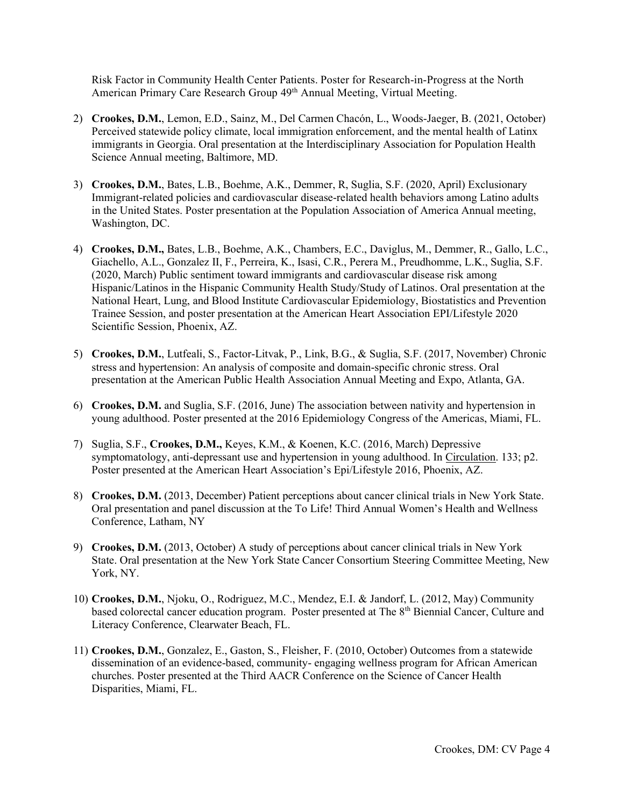Risk Factor in Community Health Center Patients. Poster for Research-in-Progress at the North American Primary Care Research Group 49<sup>th</sup> Annual Meeting, Virtual Meeting.

- 2) Crookes, D.M., Lemon, E.D., Sainz, M., Del Carmen Chacón, L., Woods-Jaeger, B. (2021, October) Perceived statewide policy climate, local immigration enforcement, and the mental health of Latinx immigrants in Georgia. Oral presentation at the Interdisciplinary Association for Population Health Science Annual meeting, Baltimore, MD.
- 3) Crookes, D.M., Bates, L.B., Boehme, A.K., Demmer, R, Suglia, S.F. (2020, April) Exclusionary Immigrant-related policies and cardiovascular disease-related health behaviors among Latino adults in the United States. Poster presentation at the Population Association of America Annual meeting, Washington, DC.
- 4) Crookes, D.M., Bates, L.B., Boehme, A.K., Chambers, E.C., Daviglus, M., Demmer, R., Gallo, L.C., Giachello, A.L., Gonzalez II, F., Perreira, K., Isasi, C.R., Perera M., Preudhomme, L.K., Suglia, S.F. (2020, March) Public sentiment toward immigrants and cardiovascular disease risk among Hispanic/Latinos in the Hispanic Community Health Study/Study of Latinos. Oral presentation at the National Heart, Lung, and Blood Institute Cardiovascular Epidemiology, Biostatistics and Prevention Trainee Session, and poster presentation at the American Heart Association EPI/Lifestyle 2020 Scientific Session, Phoenix, AZ.
- 5) Crookes, D.M., Lutfeali, S., Factor-Litvak, P., Link, B.G., & Suglia, S.F. (2017, November) Chronic stress and hypertension: An analysis of composite and domain-specific chronic stress. Oral presentation at the American Public Health Association Annual Meeting and Expo, Atlanta, GA.
- 6) Crookes, D.M. and Suglia, S.F. (2016, June) The association between nativity and hypertension in young adulthood. Poster presented at the 2016 Epidemiology Congress of the Americas, Miami, FL.
- 7) Suglia, S.F., Crookes, D.M., Keyes, K.M., & Koenen, K.C. (2016, March) Depressive symptomatology, anti-depressant use and hypertension in young adulthood. In Circulation. 133; p2. Poster presented at the American Heart Association's Epi/Lifestyle 2016, Phoenix, AZ.
- 8) Crookes, D.M. (2013, December) Patient perceptions about cancer clinical trials in New York State. Oral presentation and panel discussion at the To Life! Third Annual Women's Health and Wellness Conference, Latham, NY
- 9) Crookes, D.M. (2013, October) A study of perceptions about cancer clinical trials in New York State. Oral presentation at the New York State Cancer Consortium Steering Committee Meeting, New York, NY.
- 10) Crookes, D.M., Njoku, O., Rodriguez, M.C., Mendez, E.I. & Jandorf, L. (2012, May) Community based colorectal cancer education program. Poster presented at The 8<sup>th</sup> Biennial Cancer, Culture and Literacy Conference, Clearwater Beach, FL.
- 11) Crookes, D.M., Gonzalez, E., Gaston, S., Fleisher, F. (2010, October) Outcomes from a statewide dissemination of an evidence-based, community- engaging wellness program for African American churches. Poster presented at the Third AACR Conference on the Science of Cancer Health Disparities, Miami, FL.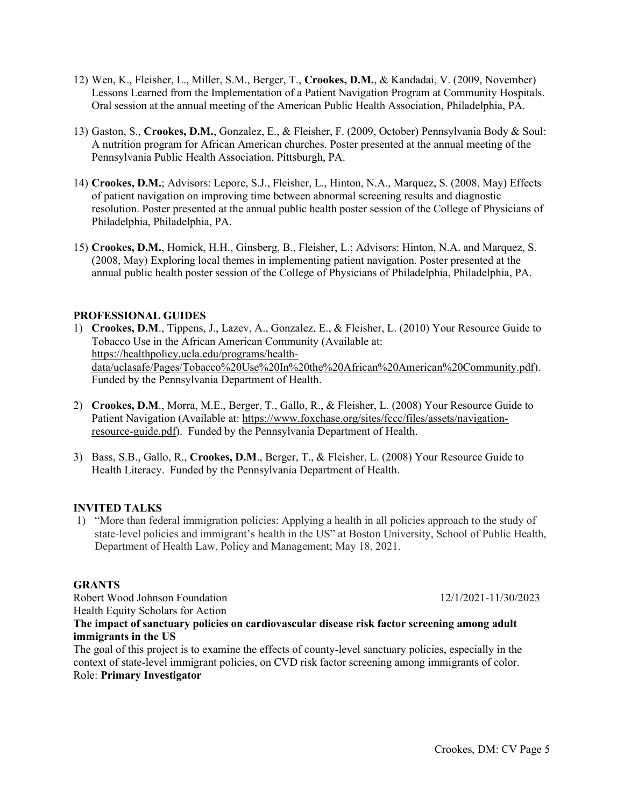- 12) Wen, K., Fleisher, L., Miller, S.M., Berger, T., Crookes, D.M., & Kandadai, V. (2009, November) Lessons Learned from the Implementation of a Patient Navigation Program at Community Hospitals. Oral session at the annual meeting of the American Public Health Association, Philadelphia, PA.
- 13) Gaston, S., Crookes, D.M., Gonzalez, E., & Fleisher, F. (2009, October) Pennsylvania Body & Soul: A nutrition program for African American churches. Poster presented at the annual meeting of the Pennsylvania Public Health Association, Pittsburgh, PA.
- 14) Crookes, D.M.; Advisors: Lepore, S.J., Fleisher, L., Hinton, N.A., Marquez, S. (2008, May) Effects of patient navigation on improving time between abnormal screening results and diagnostic resolution. Poster presented at the annual public health poster session of the College of Physicians of Philadelphia, Philadelphia, PA.
- 15) Crookes, D.M., Homick, H.H., Ginsberg, B., Fleisher, L.; Advisors: Hinton, N.A. and Marquez, S. (2008, May) Exploring local themes in implementing patient navigation. Poster presented at the annual public health poster session of the College of Physicians of Philadelphia, Philadelphia, PA.

# PROFESSIONAL GUIDES

- 1) Crookes, D.M., Tippens, J., Lazev, A., Gonzalez, E., & Fleisher, L. (2010) Your Resource Guide to Tobacco Use in the African American Community (Available at: https://healthpolicy.ucla.edu/programs/healthdata/uclasafe/Pages/Tobacco%20Use%20In%20the%20African%20American%20Community.pdf). Funded by the Pennsylvania Department of Health.
- 2) Crookes, D.M., Morra, M.E., Berger, T., Gallo, R., & Fleisher, L. (2008) Your Resource Guide to Patient Navigation (Available at: https://www.foxchase.org/sites/fccc/files/assets/navigationresource-guide.pdf). Funded by the Pennsylvania Department of Health.
- 3) Bass, S.B., Gallo, R., Crookes, D.M., Berger, T., & Fleisher, L. (2008) Your Resource Guide to Health Literacy. Funded by the Pennsylvania Department of Health.

#### INVITED TALKS

1) "More than federal immigration policies: Applying a health in all policies approach to the study of state-level policies and immigrant's health in the US" at Boston University, School of Public Health, Department of Health Law, Policy and Management; May 18, 2021.

## GRANTS

Robert Wood Johnson Foundation 12/1/2021-11/30/2023 Health Equity Scholars for Action

## The impact of sanctuary policies on cardiovascular disease risk factor screening among adult immigrants in the US

The goal of this project is to examine the effects of county-level sanctuary policies, especially in the context of state-level immigrant policies, on CVD risk factor screening among immigrants of color. Role: Primary Investigator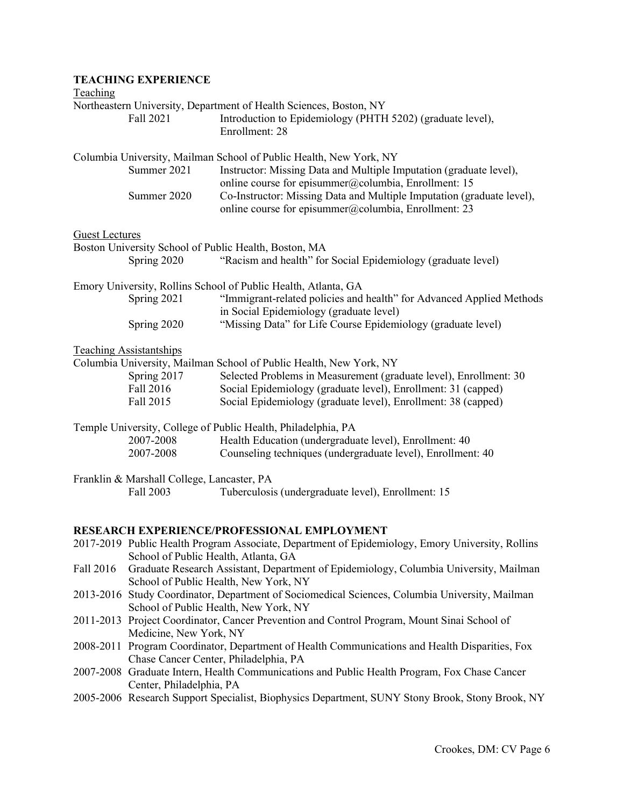|                       | <b>TEACHING EXPERIENCE</b>                                                                                                           |                                                                                                                                                    |  |
|-----------------------|--------------------------------------------------------------------------------------------------------------------------------------|----------------------------------------------------------------------------------------------------------------------------------------------------|--|
| Teaching              |                                                                                                                                      |                                                                                                                                                    |  |
|                       | Fall 2021                                                                                                                            | Northeastern University, Department of Health Sciences, Boston, NY<br>Introduction to Epidemiology (PHTH 5202) (graduate level),<br>Enrollment: 28 |  |
|                       | Summer 2021                                                                                                                          | Columbia University, Mailman School of Public Health, New York, NY<br>Instructor: Missing Data and Multiple Imputation (graduate level),           |  |
|                       | Summer 2020                                                                                                                          | online course for episummer@columbia, Enrollment: 15<br>Co-Instructor: Missing Data and Multiple Imputation (graduate level),                      |  |
|                       |                                                                                                                                      | online course for episummer@columbia, Enrollment: 23                                                                                               |  |
| <b>Guest Lectures</b> |                                                                                                                                      |                                                                                                                                                    |  |
|                       | Spring 2020                                                                                                                          | Boston University School of Public Health, Boston, MA<br>"Racism and health" for Social Epidemiology (graduate level)                              |  |
|                       |                                                                                                                                      | Emory University, Rollins School of Public Health, Atlanta, GA                                                                                     |  |
|                       | Spring 2021                                                                                                                          | "Immigrant-related policies and health" for Advanced Applied Methods<br>in Social Epidemiology (graduate level)                                    |  |
|                       | Spring 2020                                                                                                                          | "Missing Data" for Life Course Epidemiology (graduate level)                                                                                       |  |
|                       | <b>Teaching Assistantships</b>                                                                                                       |                                                                                                                                                    |  |
|                       |                                                                                                                                      | Columbia University, Mailman School of Public Health, New York, NY                                                                                 |  |
|                       | Spring 2017                                                                                                                          | Selected Problems in Measurement (graduate level), Enrollment: 30                                                                                  |  |
|                       | Fall 2016                                                                                                                            | Social Epidemiology (graduate level), Enrollment: 31 (capped)                                                                                      |  |
|                       | Fall 2015                                                                                                                            | Social Epidemiology (graduate level), Enrollment: 38 (capped)                                                                                      |  |
|                       |                                                                                                                                      | Temple University, College of Public Health, Philadelphia, PA                                                                                      |  |
|                       | 2007-2008                                                                                                                            | Health Education (undergraduate level), Enrollment: 40                                                                                             |  |
|                       | 2007-2008                                                                                                                            | Counseling techniques (undergraduate level), Enrollment: 40                                                                                        |  |
|                       | Franklin & Marshall College, Lancaster, PA                                                                                           |                                                                                                                                                    |  |
|                       | Fall 2003                                                                                                                            | Tuberculosis (undergraduate level), Enrollment: 15                                                                                                 |  |
|                       |                                                                                                                                      |                                                                                                                                                    |  |
|                       |                                                                                                                                      | RESEARCH EXPERIENCE/PROFESSIONAL EMPLOYMENT                                                                                                        |  |
|                       | School of Public Health, Atlanta, GA                                                                                                 | 2017-2019 Public Health Program Associate, Department of Epidemiology, Emory University, Rollins                                                   |  |
| Fall 2016             |                                                                                                                                      | Graduate Research Assistant, Department of Epidemiology, Columbia University, Mailman<br>School of Public Health, New York, NY                     |  |
|                       | 2013-2016 Study Coordinator, Department of Sociomedical Sciences, Columbia University, Mailman                                       |                                                                                                                                                    |  |
|                       | School of Public Health, New York, NY<br>2011-2013 Project Coordinator, Cancer Prevention and Control Program, Mount Sinai School of |                                                                                                                                                    |  |
|                       | Medicine, New York, NY<br>2008-2011 Program Coordinator, Department of Health Communications and Health Disparities, Fox             |                                                                                                                                                    |  |
|                       |                                                                                                                                      | Chase Cancer Center, Philadelphia, PA<br>2007-2008 Graduate Intern, Health Communications and Public Health Program, Fox Chase Cancer              |  |
|                       | Center, Philadelphia, PA                                                                                                             |                                                                                                                                                    |  |
|                       |                                                                                                                                      | 2005-2006 Research Support Specialist, Biophysics Department, SUNY Stony Brook, Stony Brook, NY                                                    |  |
|                       |                                                                                                                                      |                                                                                                                                                    |  |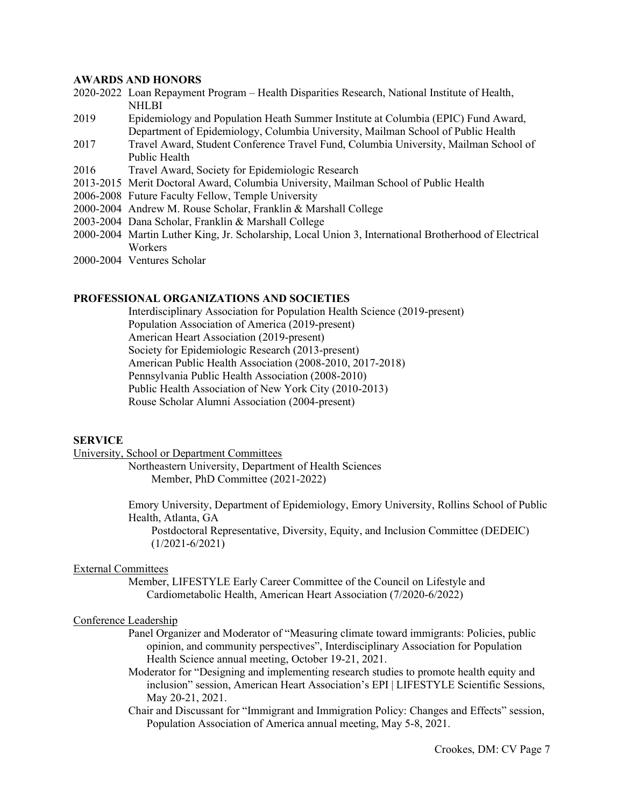### AWARDS AND HONORS

- 2020-2022 Loan Repayment Program Health Disparities Research, National Institute of Health, **NHLBI**
- 2019 Epidemiology and Population Heath Summer Institute at Columbia (EPIC) Fund Award, Department of Epidemiology, Columbia University, Mailman School of Public Health
- 2017 Travel Award, Student Conference Travel Fund, Columbia University, Mailman School of Public Health
- 2016 Travel Award, Society for Epidemiologic Research
- 2013-2015 Merit Doctoral Award, Columbia University, Mailman School of Public Health
- 2006-2008 Future Faculty Fellow, Temple University
- 2000-2004 Andrew M. Rouse Scholar, Franklin & Marshall College
- 2003-2004 Dana Scholar, Franklin & Marshall College
- 2000-2004 Martin Luther King, Jr. Scholarship, Local Union 3, International Brotherhood of Electrical Workers
- 2000-2004 Ventures Scholar

### PROFESSIONAL ORGANIZATIONS AND SOCIETIES

Interdisciplinary Association for Population Health Science (2019-present) Population Association of America (2019-present) American Heart Association (2019-present) Society for Epidemiologic Research (2013-present) American Public Health Association (2008-2010, 2017-2018) Pennsylvania Public Health Association (2008-2010) Public Health Association of New York City (2010-2013) Rouse Scholar Alumni Association (2004-present)

## **SERVICE**

University, School or Department Committees

Northeastern University, Department of Health Sciences Member, PhD Committee (2021-2022)

Emory University, Department of Epidemiology, Emory University, Rollins School of Public Health, Atlanta, GA

 Postdoctoral Representative, Diversity, Equity, and Inclusion Committee (DEDEIC) (1/2021-6/2021)

#### External Committees

Member, LIFESTYLE Early Career Committee of the Council on Lifestyle and Cardiometabolic Health, American Heart Association (7/2020-6/2022)

#### Conference Leadership

- Panel Organizer and Moderator of "Measuring climate toward immigrants: Policies, public opinion, and community perspectives", Interdisciplinary Association for Population Health Science annual meeting, October 19-21, 2021.
- Moderator for "Designing and implementing research studies to promote health equity and inclusion" session, American Heart Association's EPI | LIFESTYLE Scientific Sessions, May 20-21, 2021.
- Chair and Discussant for "Immigrant and Immigration Policy: Changes and Effects" session, Population Association of America annual meeting, May 5-8, 2021.